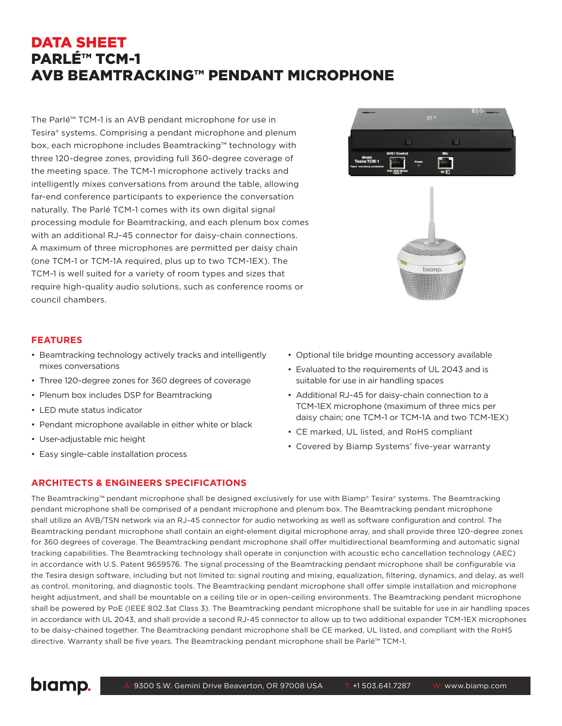## DATA SHEET PARLÉ™ TCM-1 AVB BEAMTRACKING™ PENDANT MICROPHONE

The Parlé™ TCM-1 is an AVB pendant microphone for use in Tesira® systems. Comprising a pendant microphone and plenum box, each microphone includes Beamtracking™ technology with three 120-degree zones, providing full 360-degree coverage of the meeting space. The TCM-1 microphone actively tracks and intelligently mixes conversations from around the table, allowing far-end conference participants to experience the conversation naturally. The Parlé TCM-1 comes with its own digital signal processing module for Beamtracking, and each plenum box comes with an additional RJ-45 connector for daisy-chain connections. A maximum of three microphones are permitted per daisy chain (one TCM-1 or TCM-1A required, plus up to two TCM-1EX). The TCM-1 is well suited for a variety of room types and sizes that require high-quality audio solutions, such as conference rooms or council chambers.

## **FEATURES**

- Beamtracking technology actively tracks and intelligently mixes conversations
- Three 120-degree zones for 360 degrees of coverage
- Plenum box includes DSP for Beamtracking
- LED mute status indicator
- Pendant microphone available in either white or black
- User-adjustable mic height
- Easy single-cable installation process
- Optional tile bridge mounting accessory available
- Evaluated to the requirements of UL 2043 and is suitable for use in air handling spaces
- Additional RJ-45 for daisy-chain connection to a TCM-1EX microphone (maximum of three mics per daisy chain; one TCM-1 or TCM-1A and two TCM-1EX)
- CE marked, UL listed, and RoHS compliant
- Covered by Biamp Systems' five-year warranty

**ARCHITECTS & ENGINEERS SPECIFICATIONS**

The Beamtracking™ pendant microphone shall be designed exclusively for use with Biamp® Tesira® systems. The Beamtracking pendant microphone shall be comprised of a pendant microphone and plenum box. The Beamtracking pendant microphone shall utilize an AVB/TSN network via an RJ-45 connector for audio networking as well as software configuration and control. The Beamtracking pendant microphone shall contain an eight-element digital microphone array, and shall provide three 120-degree zones for 360 degrees of coverage. The Beamtracking pendant microphone shall offer multidirectional beamforming and automatic signal tracking capabilities. The Beamtracking technology shall operate in conjunction with acoustic echo cancellation technology (AEC) in accordance with U.S. Patent 9659576. The signal processing of the Beamtracking pendant microphone shall be configurable via the Tesira design software, including but not limited to: signal routing and mixing, equalization, filtering, dynamics, and delay, as well as control, monitoring, and diagnostic tools. The Beamtracking pendant microphone shall offer simple installation and microphone height adjustment, and shall be mountable on a ceiling tile or in open-ceiling environments. The Beamtracking pendant microphone shall be powered by PoE (IEEE 802.3at Class 3). The Beamtracking pendant microphone shall be suitable for use in air handling spaces in accordance with UL 2043, and shall provide a second RJ-45 connector to allow up to two additional expander TCM-1EX microphones to be daisy-chained together. The Beamtracking pendant microphone shall be CE marked, UL listed, and compliant with the RoHS directive. Warranty shall be five years. The Beamtracking pendant microphone shall be Parlé™ TCM-1.